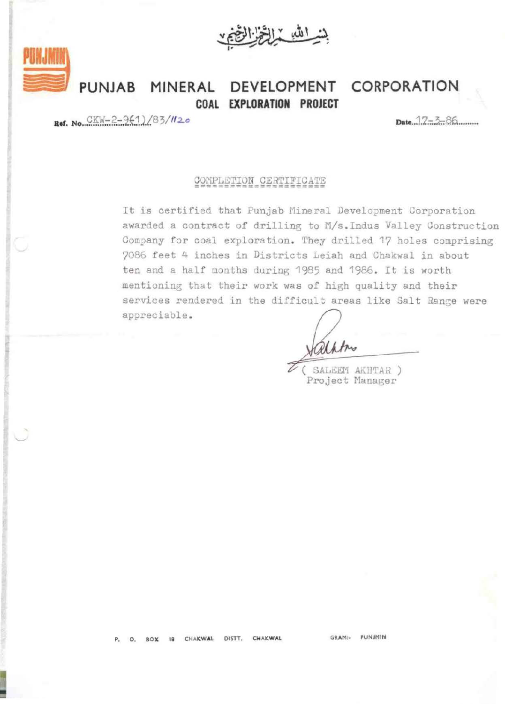بشدائله والخزال

**PUNJAB MINERAL DEVELOPMENT CORPORATION COAL EXPLORATION PROJECT** 

 $Raf. No. 
$$
CKW-2-9(1)/83/112a
$$$ 

## COMPLETION CERTIFICATE

It is certified that Punjab Mineral Development Corporation awarded a contract of drilling to M/s. Indus Valley Construction Company for coal exploration. They drilled 17 holes comprising 7086 feet 4 inches in Districts Leiah and Chakwal in about ten and a half months during 1985 and 1986. It is worth mentioning that their work was of high quality and their services rendered in the difficult areas like Salt Range were appreciable .

SALEEM AKHTAR ) Project Manager

O. BOX 18 CHAKWAL DISTT. CHAKWAL

GRAM:· PUNJMIN